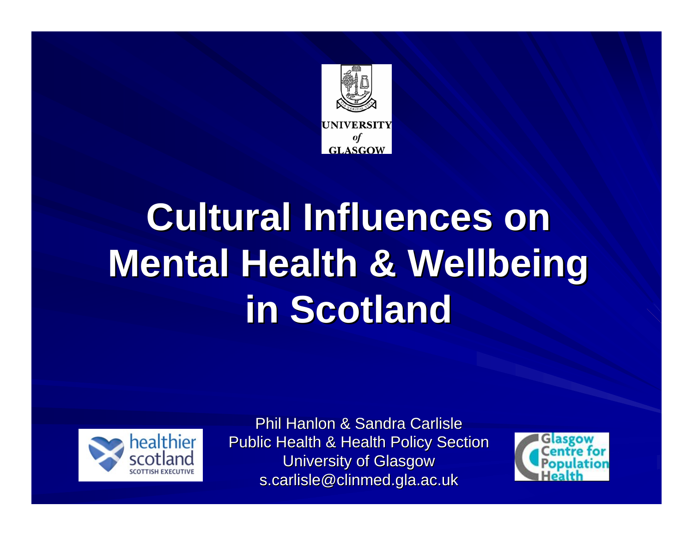

# **Cultural Influences on Mental Health & Wellbeing in Scotland in Scotland**



Phil Hanlon & Sandra Carlisle Public Health & Health Policy Section **University of Glasgow** s.carlisle@clinmed.gla.ac.uk

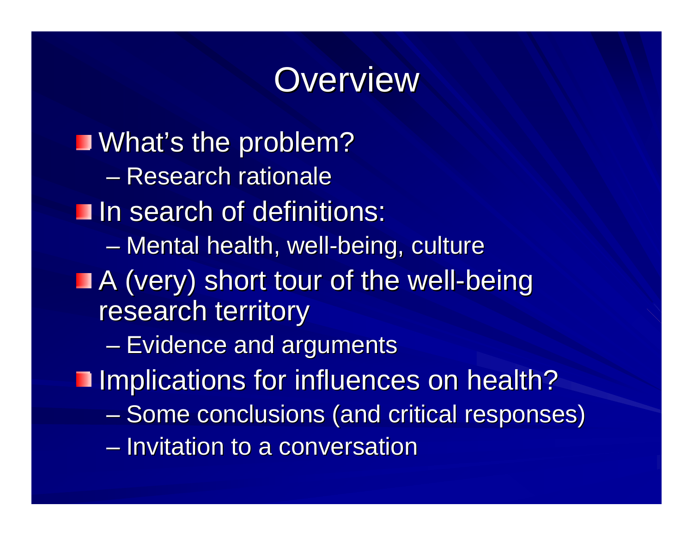### **Overview**

**J** What's the problem? – Research rationale **In search of definitions:**  $\mathcal{L}_{\mathcal{A}}$ – Mental health, well-being, culture A (very) short tour of the well-being research territory  $-$  Evidence and arguments **Implications for influences on health?** –– Some conclusions (and critical responses) – Invitation to a conversation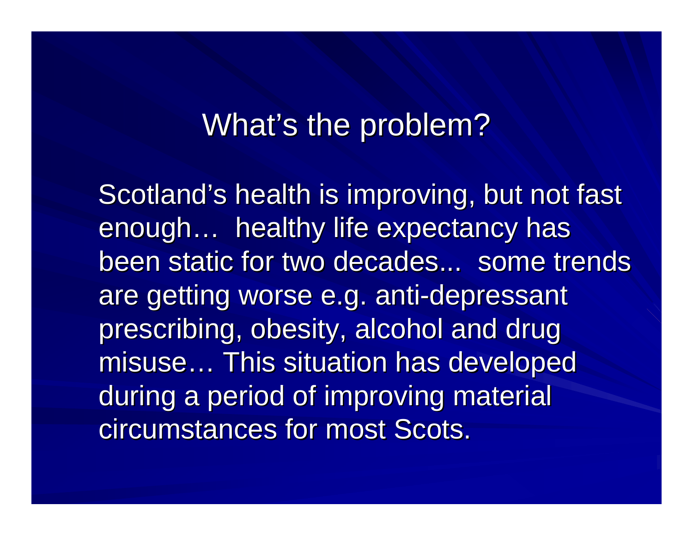#### What's the problem?

Scotland's health is improving, but not fast enough... healthy life expectancy has been static for two decades... some trends are getting worse e.g. anti-depressant prescribing, obesity, alcohol and drug misuse... This situation has developed during a period of improving material circumstances for most Scots.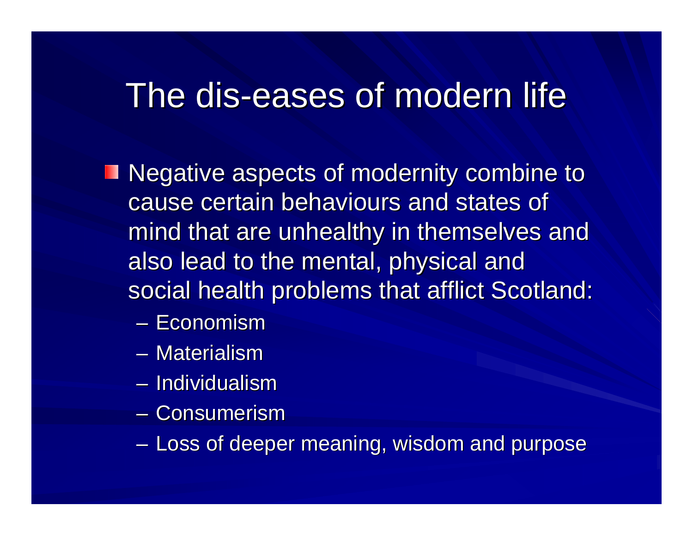## The dis-eases of modern life

- **Negative aspects of modernity combine to** cause certain behaviours and states of cause certain behaviours and states of mind that are unhealthy in themselves and also lead to the mental, physical and social health problems that afflict Scotland:
	- Economism
	- Materialism
	- Individualism
	- Consumerism
	- **Line Communication** – Loss of deeper meaning, wisdom and purpose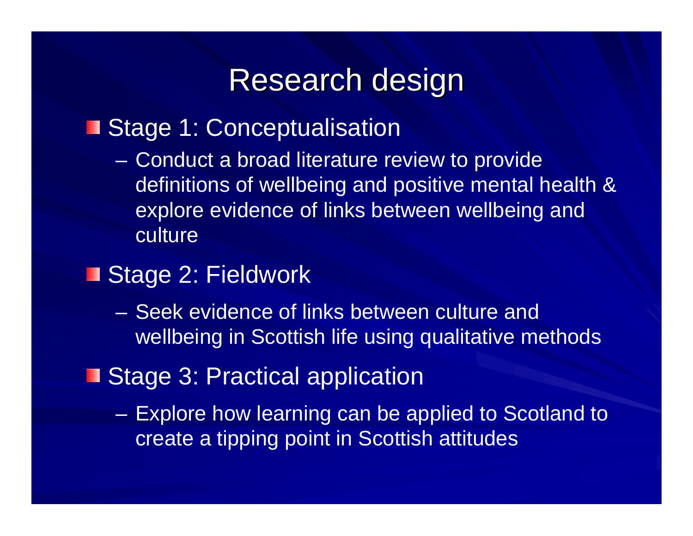#### Research design

#### Stage 1: Conceptualisation

- $\mathcal{L}_{\mathcal{A}}$  Conduct a broad literature review to provide definitions of wellbeing and positive mental health & explore evidence of links between wellbeing and culture
- Stage 2: Fieldwork
	- Seek evidence of links between culture and wellbeing in Scottish life using qualitative methods
- Stage 3: Practical application
	- Explore how learning can be applied to Scotland to create a tipping point in Scottish attitudes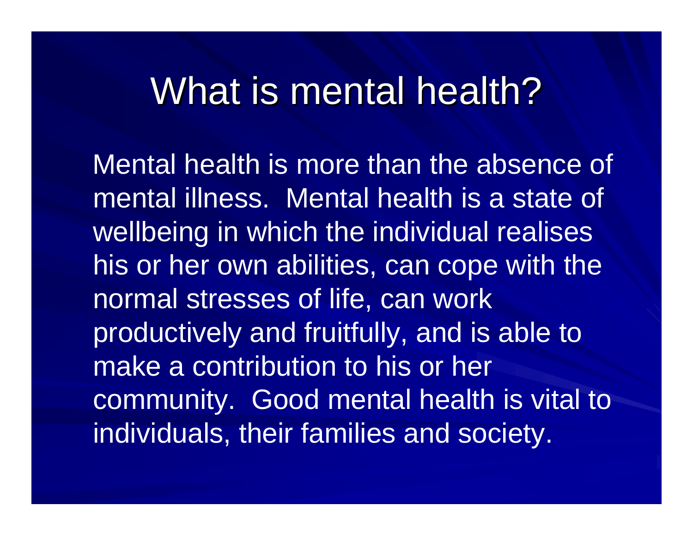## What is mental health?

Mental health is more than the absence of mental illness. Mental health is a state of wellbeing in which the individual realises his or her own abilities, can cope with the normal stresses of life, can work productively and fruitfully, and is able to make a contribution to his or her community. Good mental health is vital to individuals, their families and society.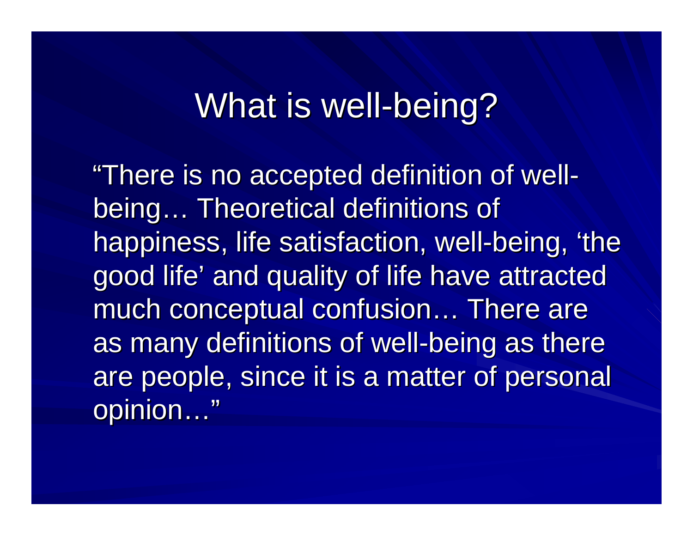### What is well-being?

"There is no accepted definition of wellbeing… Theoretical definitions of happiness, life satisfaction, well-being, 'the good life' and quality of life have attracted much conceptual confusion… There are as many definitions of well-being as there are people, since it is a matter of personal opinion…"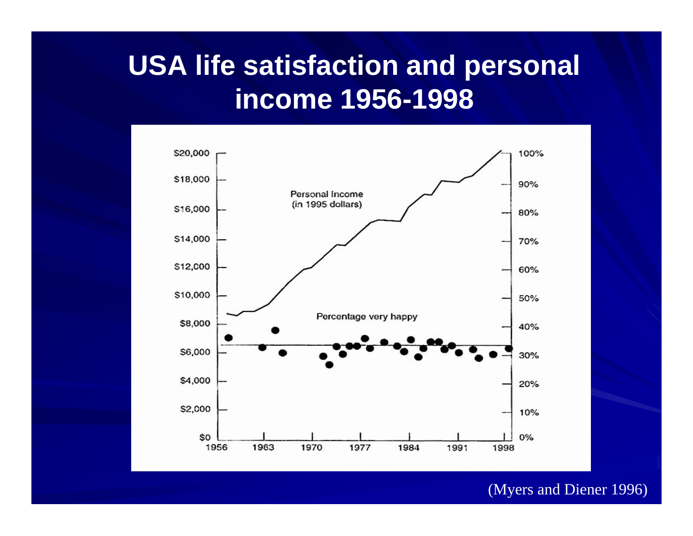#### **USA life satisfaction and personal income 1956-1998**



#### (Myers and Diener 1996)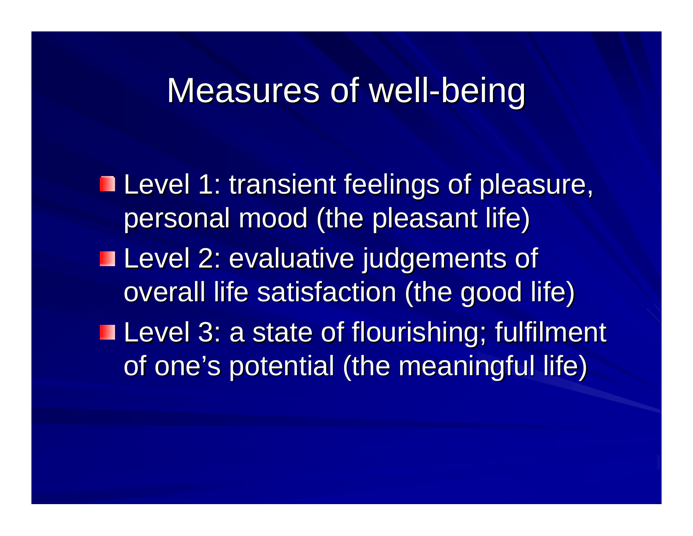### Measures of well-being

**Level 1: transient feelings of pleasure,** personal mood (the pleasant life) ■ Level 2: evaluative judgements of overall life satisfaction (the good life)  $\blacksquare$  Level 3: a state of flourishing; fulfilment of one's potential (the meaningful life)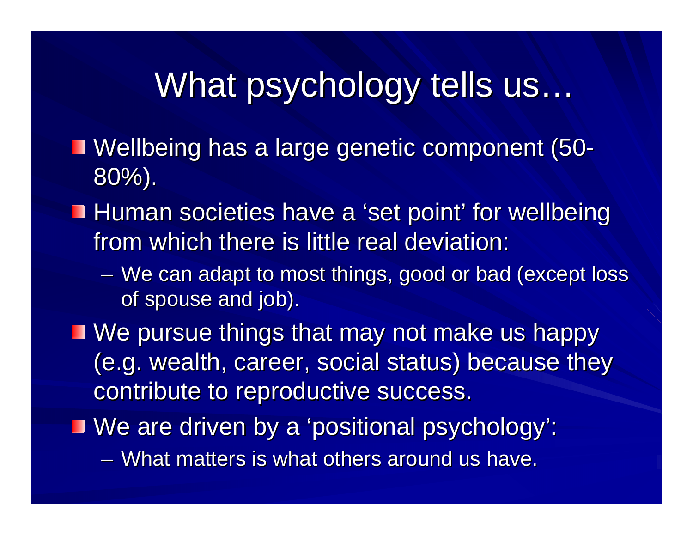## What psychology tells us…

- Wellbeing has a large genetic component (50 - 80%).
- **Human societies have a 'set point' for wellbeing** from which there is little real deviation:
	- We can adapt to most things, good or bad (except loss of spouse and job).
- $\blacksquare$  We pursue things that may not make us happy (e.g. wealth, career, social status) because they contribute to reproductive success.

We are driven by a 'positional psychology': We are driven by a 'positional psychology':

– What matters is what others around us have.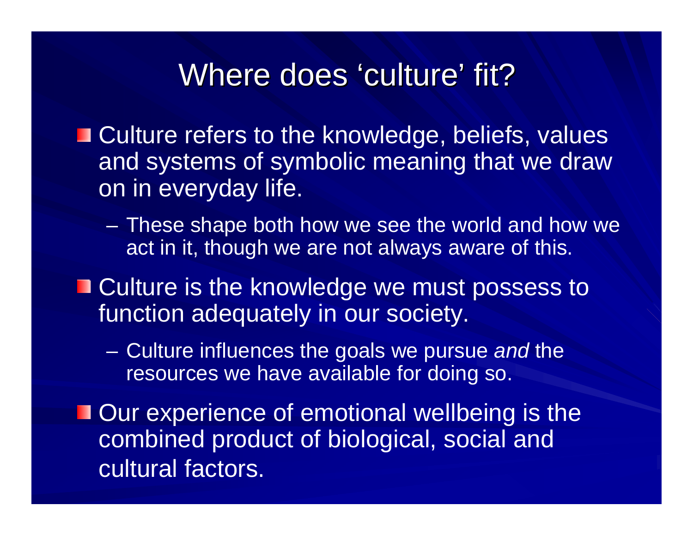#### Where does 'culture' fit?

**Example 20 Incident** Culture refers to the knowledge, beliefs, values and systems of symbolic meaning that we draw on in everyday life.

- These shape both how we see the world and how we act in it, though we are not always aware of this.
- Culture is the knowledge we must possess to function adequately in our society.
	- $\mathcal{L}_{\mathcal{A}}$  , where  $\mathcal{L}_{\mathcal{A}}$  is the set of the set of the set of the set of the set of the set of the set of the set of the set of the set of the set of the set of the set of the set of the set of the set of the Culture influences the goals we pursue *and* the resources we have available for doing so.
- **Our experience of emotional wellbeing is the** combined product of biological, social and cultural factors.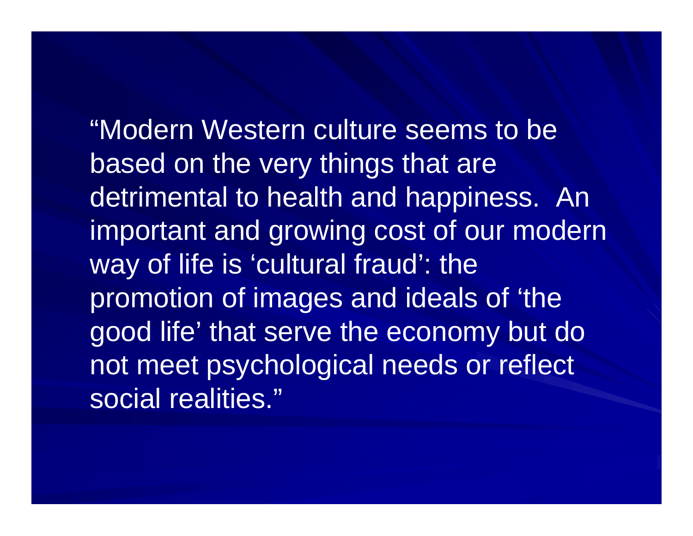"Modern Western culture seems to be based on the very things that are detrimental to health and happiness. An important and growing cost of our modern way of life is 'cultural fraud': the promotion of images and ideals of 'the good life' that serve the economy but do not meet psychological needs or reflect social realities."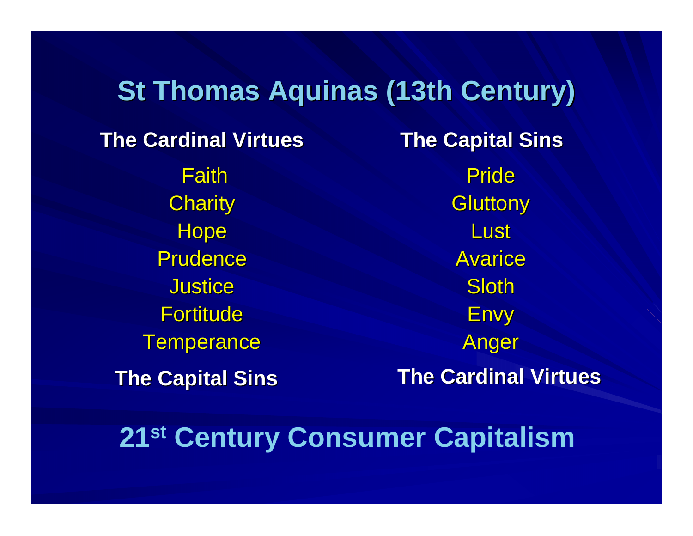#### **St Thomas Aquinas (13th Century)** Faith**Charity Hope** Prudence Justice Fortitude **Temperance The Capital Sins The Capital Sins The Cardinal Virtues The Cardinal Virtues**Pride **Gluttony Lust** Avarice Sloth Envy Anger **The Cardinal Virtues The Cardinal VirtuesThe Capital Sins The Capital Sins**

**21st Century Consumer Capitalism**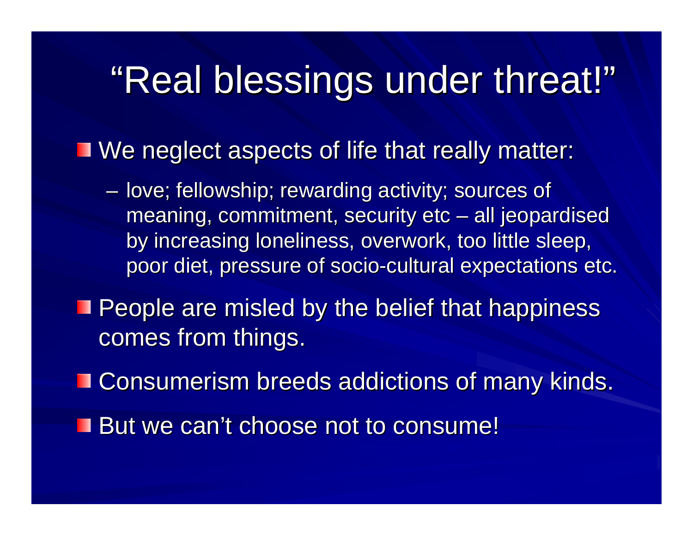# "Real blessings under threat!"

 $\blacksquare$  We neglect aspects of life that really matter:

- love; fellowship; rewarding activity; sources of meaning, commitment, security etc – all jeopardised by increasing loneliness, overwork, too little sleep, poor diet, pressure of socio-cultural expectations etc.
- **People are misled by the belief that happiness** comes from things.
- **EXConsumerism breeds addictions of many kinds.**
- **But we can't choose not to consume!**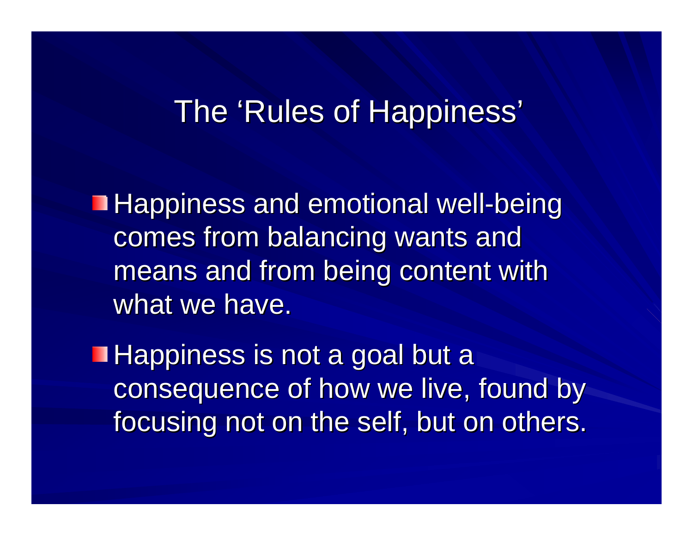#### The 'Rules of Happiness'

Happiness and emotional well-being comes from balancing wants and means and from being content with what we have.

**Happiness is not a goal but a** consequence of how we live, found by focusing not on the self, but on others.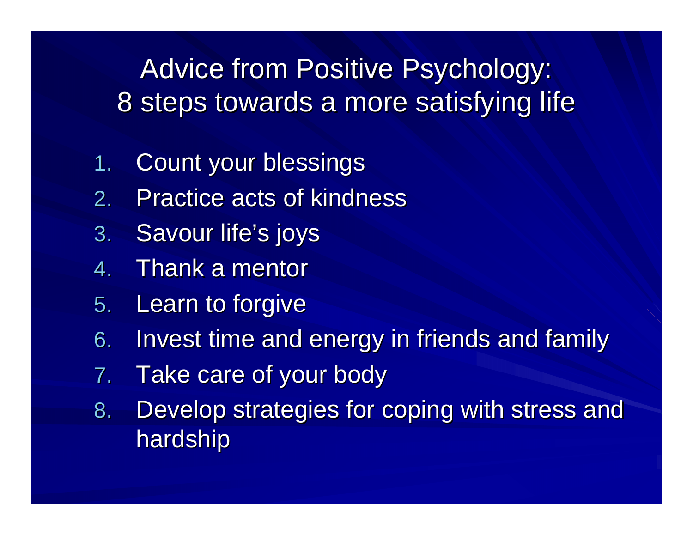Advice from Positive Psychology: 8 steps towards a more satisfying life

- 1.Count your blessings
- 2.. Practice acts of kindness
- 3. Savour life's joys
- 4.Thank a mentor
- 5. Learn to forgive
- 6. Invest time and energy in friends and family
- 7.Take care of your body
- 8. Develop strategies for coping with stress and hardship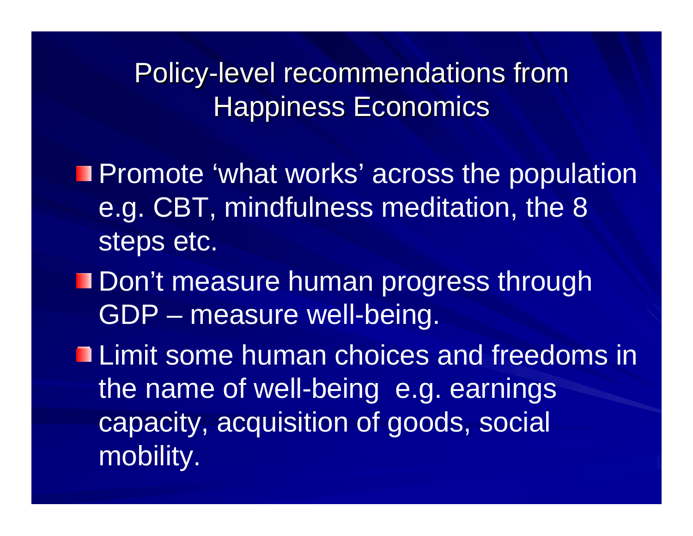Policy-level recommendations from **Happiness Economics** 

- **Promote 'what works' across the population** e.g. CBT, mindfulness meditation, the 8 steps etc.
- Don't measure human progress through GDP – measure well-being.
- **Limit some human choices and freedoms in** the name of well-being e.g. earnings capacity, acquisition of goods, social mobility.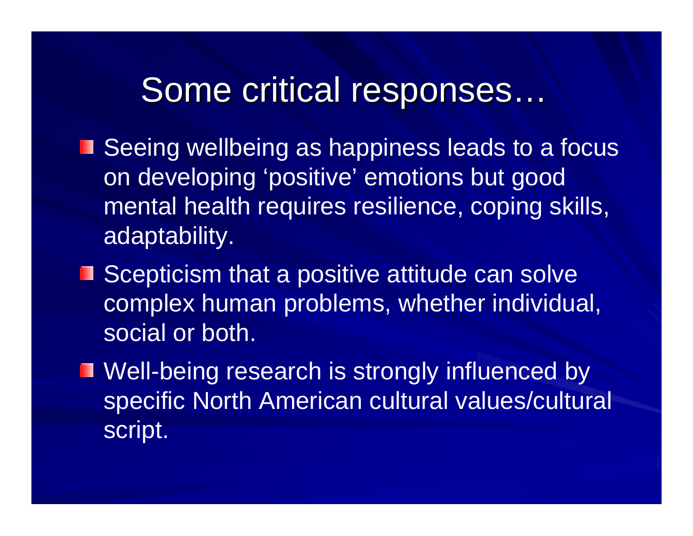### Some critical responses...

- Seeing wellbeing as happiness leads to a focus on developing 'positive' emotions but good mental health requires resilience, coping skills, adaptability.
- Scepticism that a positive attitude can solve complex human problems, whether individual, social or both.
- **Nell-being research is strongly influenced by** specific North American cultural values/cultural script.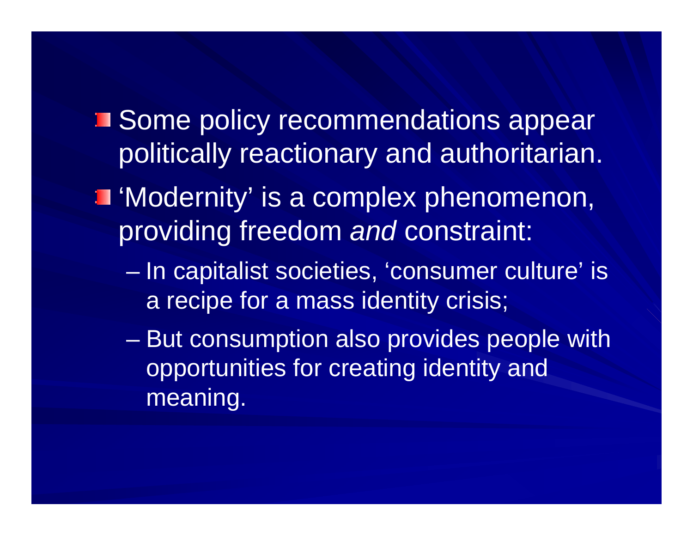- **Some policy recommendations appear** politically reactionary and authoritarian.
- 'Modernity' is a complex phenomenon, providing freedom *and* constraint:
	- $\mathcal{L}_{\mathcal{A}}$  , where  $\mathcal{L}_{\mathcal{A}}$  is the set of the set of the set of the set of the set of the set of the set of the set of the set of the set of the set of the set of the set of the set of the set of the set of the In capitalist societies, 'consumer culture' is a recipe for a mass identity crisis;
	- – But consumption also provides people with opportunities for creating identity and meaning.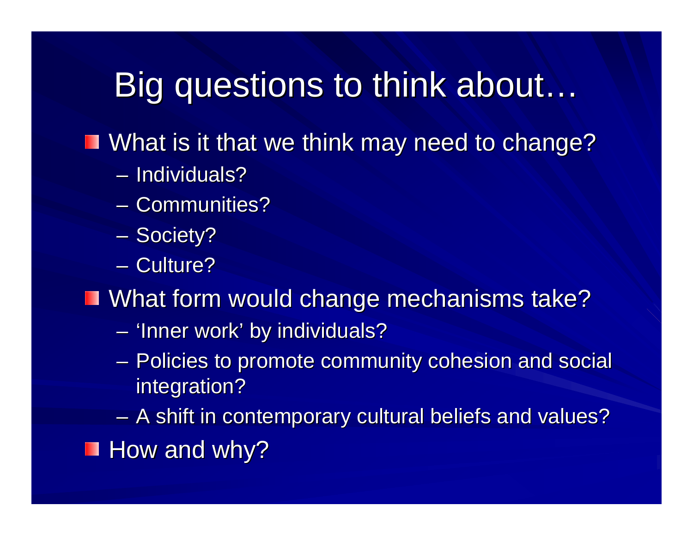## Big questions to think about...

 $\blacksquare$  What is it that we think may need to change?

- Individuals?
- Communities?
- Society?
- Culture?

 $\blacksquare$  What form would change mechanisms take?

- 'Inner work' by individuals?
- Policies to promote community cohesion and social integration?

 $\sim$  $-$  A shift in contemporary cultural beliefs and values?  $\blacksquare$  How and why?